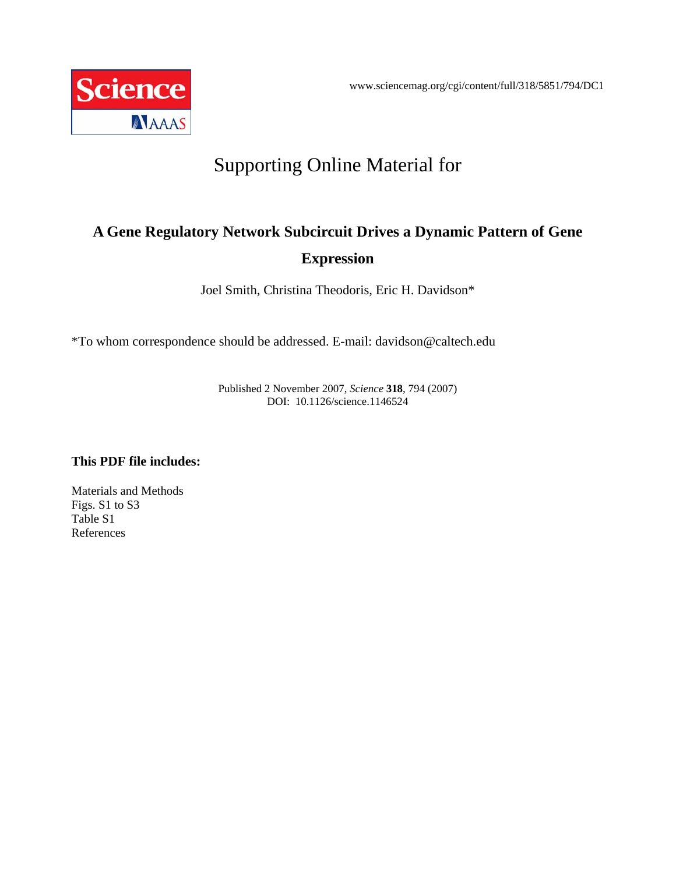

# Supporting Online Material for

## **A Gene Regulatory Network Subcircuit Drives a Dynamic Pattern of Gene Expression**

Joel Smith, Christina Theodoris, Eric H. Davidson\*

\*To whom correspondence should be addressed. E-mail: davidson@caltech.edu

Published 2 November 2007, *Science* **318**, 794 (2007) DOI: 10.1126/science.1146524

## **This PDF file includes:**

Materials and Methods Figs. S1 to S3 Table S1 References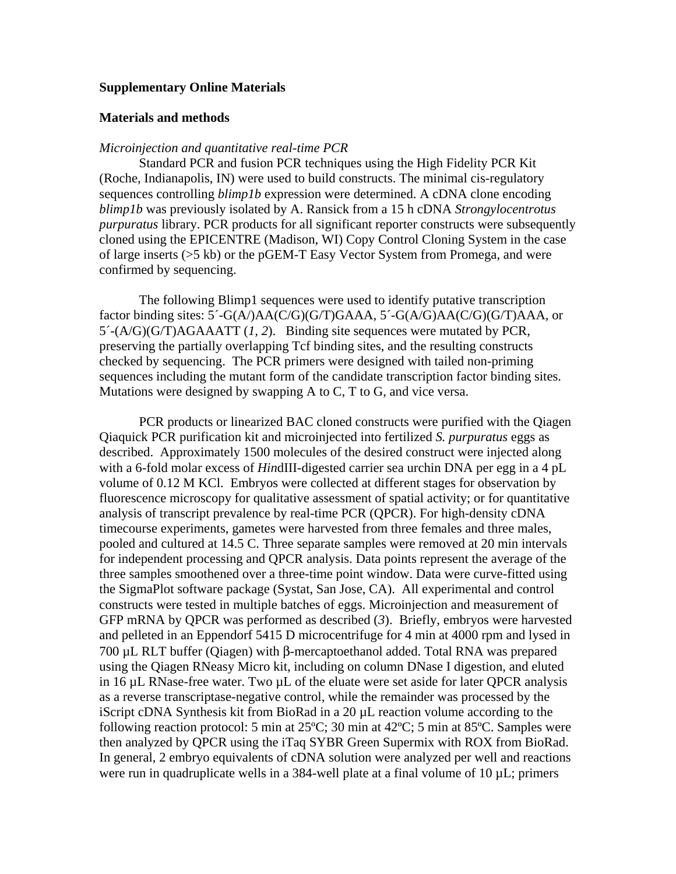#### **Supplementary Online Materials**

#### **Materials and methods**

#### *Microinjection and quantitative real-time PCR*

Standard PCR and fusion PCR techniques using the High Fidelity PCR Kit (Roche, Indianapolis, IN) were used to build constructs. The minimal cis-regulatory sequences controlling *blimp1b* expression were determined. A cDNA clone encoding *blimp1b* was previously isolated by A. Ransick from a 15 h cDNA *Strongylocentrotus purpuratus* library. PCR products for all significant reporter constructs were subsequently cloned using the EPICENTRE (Madison, WI) Copy Control Cloning System in the case of large inserts (>5 kb) or the pGEM-T Easy Vector System from Promega, and were confirmed by sequencing.

The following Blimp1 sequences were used to identify putative transcription factor binding sites: 5´-G(A/)AA(C/G)(G/T)GAAA, 5´-G(A/G)AA(C/G)(G/T)AAA, or 5´-(A/G)(G/T)AGAAATT (*1, 2*). Binding site sequences were mutated by PCR, preserving the partially overlapping Tcf binding sites, and the resulting constructs checked by sequencing. The PCR primers were designed with tailed non-priming sequences including the mutant form of the candidate transcription factor binding sites. Mutations were designed by swapping A to C, T to G, and vice versa.

PCR products or linearized BAC cloned constructs were purified with the Qiagen Qiaquick PCR purification kit and microinjected into fertilized *S. purpuratus* eggs as described. Approximately 1500 molecules of the desired construct were injected along with a 6-fold molar excess of *Hin*dIII-digested carrier sea urchin DNA per egg in a 4 pL volume of 0.12 M KCl. Embryos were collected at different stages for observation by fluorescence microscopy for qualitative assessment of spatial activity; or for quantitative analysis of transcript prevalence by real-time PCR (QPCR). For high-density cDNA timecourse experiments, gametes were harvested from three females and three males, pooled and cultured at 14.5 C. Three separate samples were removed at 20 min intervals for independent processing and QPCR analysis. Data points represent the average of the three samples smoothened over a three-time point window. Data were curve-fitted using the SigmaPlot software package (Systat, San Jose, CA). All experimental and control constructs were tested in multiple batches of eggs. Microinjection and measurement of GFP mRNA by QPCR was performed as described (*3*). Briefly, embryos were harvested and pelleted in an Eppendorf 5415 D microcentrifuge for 4 min at 4000 rpm and lysed in 700 µL RLT buffer (Qiagen) with β-mercaptoethanol added. Total RNA was prepared using the Qiagen RNeasy Micro kit, including on column DNase I digestion, and eluted in 16 µL RNase-free water. Two µL of the eluate were set aside for later QPCR analysis as a reverse transcriptase-negative control, while the remainder was processed by the iScript cDNA Synthesis kit from BioRad in a 20 µL reaction volume according to the following reaction protocol: 5 min at 25ºC; 30 min at 42ºC; 5 min at 85ºC. Samples were then analyzed by QPCR using the iTaq SYBR Green Supermix with ROX from BioRad. In general, 2 embryo equivalents of cDNA solution were analyzed per well and reactions were run in quadruplicate wells in a 384-well plate at a final volume of 10  $\mu$ L; primers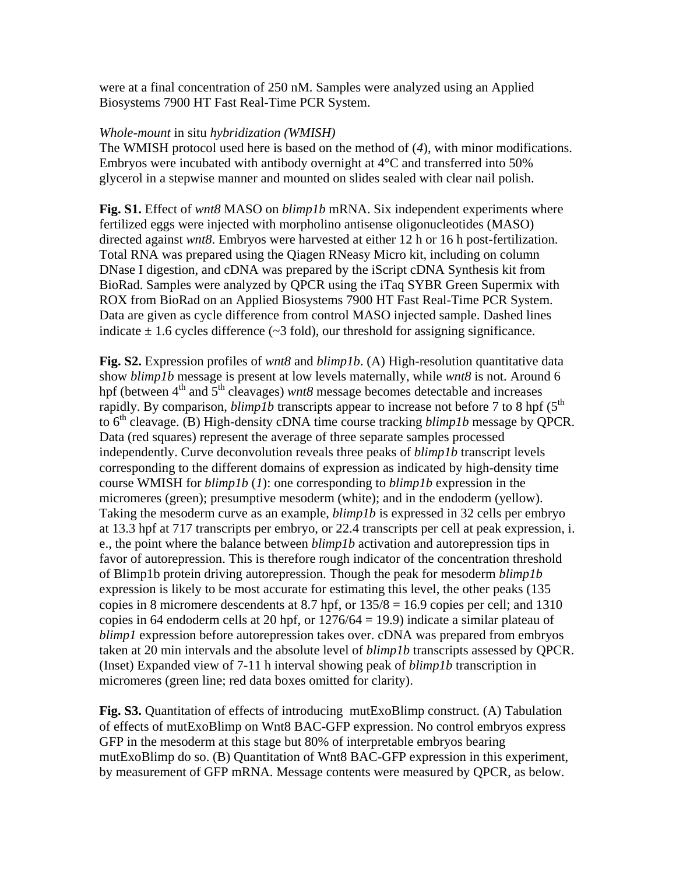were at a final concentration of 250 nM. Samples were analyzed using an Applied Biosystems 7900 HT Fast Real-Time PCR System.

#### *Whole-mount* in situ *hybridization (WMISH)*

The WMISH protocol used here is based on the method of (*4*), with minor modifications. Embryos were incubated with antibody overnight at 4°C and transferred into 50% glycerol in a stepwise manner and mounted on slides sealed with clear nail polish.

**Fig. S1.** Effect of *wnt8* MASO on *blimp1b* mRNA. Six independent experiments where fertilized eggs were injected with morpholino antisense oligonucleotides (MASO) directed against *wnt8*. Embryos were harvested at either 12 h or 16 h post-fertilization. Total RNA was prepared using the Qiagen RNeasy Micro kit, including on column DNase I digestion, and cDNA was prepared by the iScript cDNA Synthesis kit from BioRad. Samples were analyzed by QPCR using the iTaq SYBR Green Supermix with ROX from BioRad on an Applied Biosystems 7900 HT Fast Real-Time PCR System. Data are given as cycle difference from control MASO injected sample. Dashed lines indicate  $\pm$  1.6 cycles difference ( $\sim$ 3 fold), our threshold for assigning significance.

**Fig. S2.** Expression profiles of *wnt8* and *blimp1b*. (A) High-resolution quantitative data show *blimp1b* message is present at low levels maternally, while *wnt8* is not. Around 6 hpf (between 4<sup>th</sup> and 5<sup>th</sup> cleavages) *wnt8* message becomes detectable and increases rapidly. By comparison, *blimp1b* transcripts appear to increase not before 7 to 8 hpf ( $5<sup>th</sup>$ to 6<sup>th</sup> cleavage. (B) High-density cDNA time course tracking *blimp1b* message by QPCR. Data (red squares) represent the average of three separate samples processed independently. Curve deconvolution reveals three peaks of *blimp1b* transcript levels corresponding to the different domains of expression as indicated by high-density time course WMISH for *blimp1b* (*1*): one corresponding to *blimp1b* expression in the micromeres (green); presumptive mesoderm (white); and in the endoderm (yellow). Taking the mesoderm curve as an example, *blimp1b* is expressed in 32 cells per embryo at 13.3 hpf at 717 transcripts per embryo, or 22.4 transcripts per cell at peak expression, i. e., the point where the balance between *blimp1b* activation and autorepression tips in favor of autorepression. This is therefore rough indicator of the concentration threshold of Blimp1b protein driving autorepression. Though the peak for mesoderm *blimp1b* expression is likely to be most accurate for estimating this level, the other peaks (135 copies in 8 micromere descendents at 8.7 hpf, or  $135/8 = 16.9$  copies per cell; and 1310 copies in 64 endoderm cells at 20 hpf, or  $1276/64 = 19.9$ ) indicate a similar plateau of *blimp1* expression before autorepression takes over. cDNA was prepared from embryos taken at 20 min intervals and the absolute level of *blimp1b* transcripts assessed by QPCR. (Inset) Expanded view of 7-11 h interval showing peak of *blimp1b* transcription in micromeres (green line; red data boxes omitted for clarity).

**Fig. S3.** Quantitation of effects of introducing mutExoBlimp construct. (A) Tabulation of effects of mutExoBlimp on Wnt8 BAC-GFP expression. No control embryos express GFP in the mesoderm at this stage but 80% of interpretable embryos bearing mutExoBlimp do so. (B) Quantitation of Wnt8 BAC-GFP expression in this experiment, by measurement of GFP mRNA. Message contents were measured by QPCR, as below.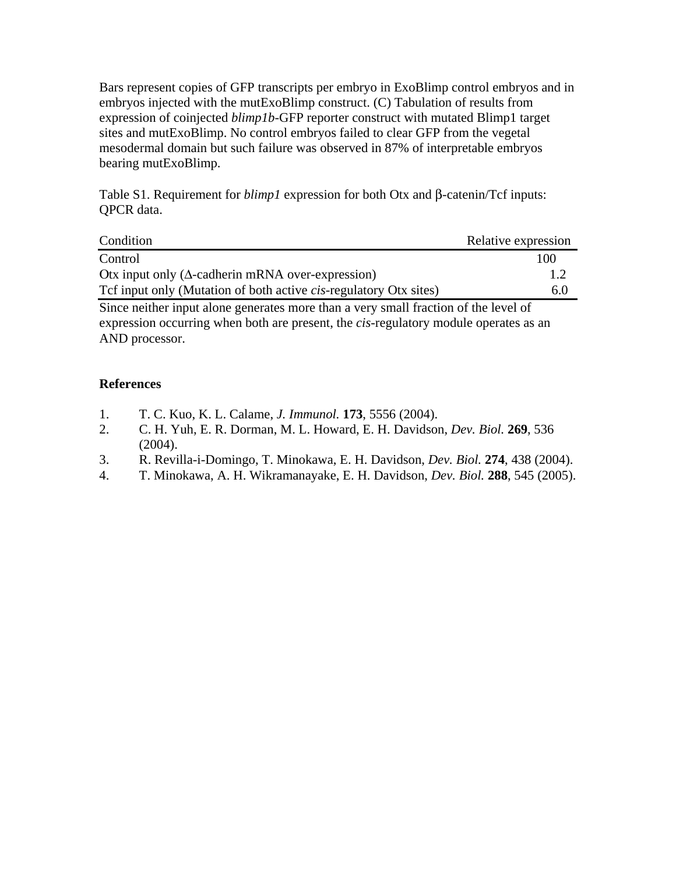Bars represent copies of GFP transcripts per embryo in ExoBlimp control embryos and in embryos injected with the mutExoBlimp construct. (C) Tabulation of results from expression of coinjected *blimp1b*-GFP reporter construct with mutated Blimp1 target sites and mutExoBlimp. No control embryos failed to clear GFP from the vegetal mesodermal domain but such failure was observed in 87% of interpretable embryos bearing mutExoBlimp.

Table S1. Requirement for *blimp1* expression for both Otx and β-catenin/Tcf inputs: QPCR data.

| Condition                                                                 | Relative expression |
|---------------------------------------------------------------------------|---------------------|
| Control                                                                   | 100                 |
| Otx input only ( $\Delta$ -cadherin mRNA over-expression)                 |                     |
| Tef input only (Mutation of both active <i>cis</i> -regulatory Otx sites) | 6(                  |

Since neither input alone generates more than a very small fraction of the level of expression occurring when both are present, the *cis*-regulatory module operates as an AND processor.

### **References**

- 1. T. C. Kuo, K. L. Calame, *J. Immunol.* **173**, 5556 (2004).
- 2. C. H. Yuh, E. R. Dorman, M. L. Howard, E. H. Davidson, *Dev. Biol.* **269**, 536 (2004).
- 3. R. Revilla-i-Domingo, T. Minokawa, E. H. Davidson, *Dev. Biol.* **274**, 438 (2004).
- 4. T. Minokawa, A. H. Wikramanayake, E. H. Davidson, *Dev. Biol.* **288**, 545 (2005).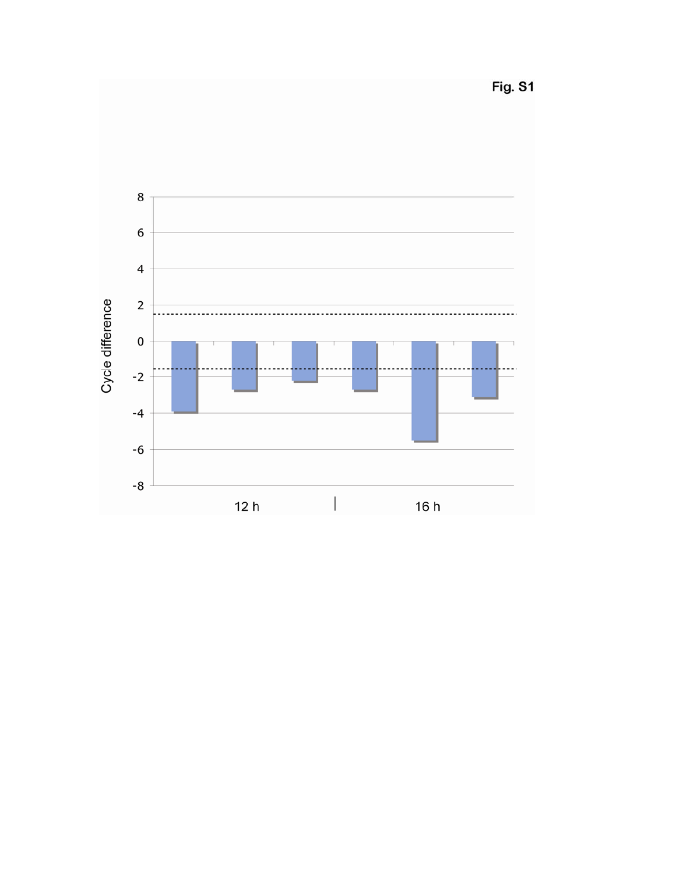Fig. S1

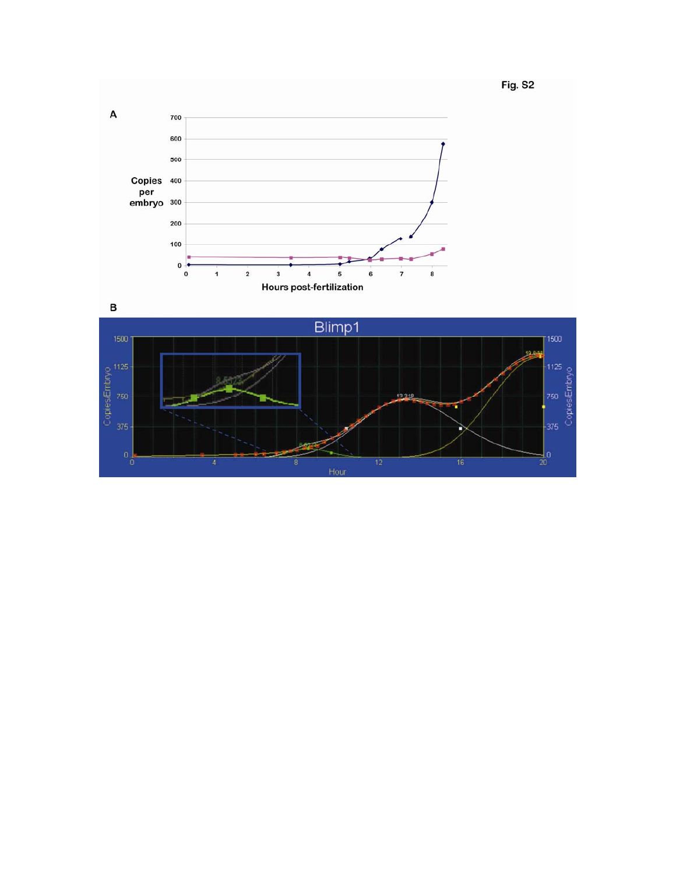